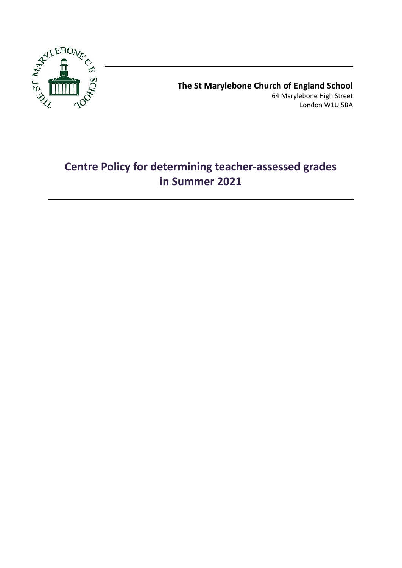

**The St Marylebone Church of England School** 64 Marylebone High Street London W1U 5BA

# **Centre Policy for determining teacher-assessed grades in Summer 2021**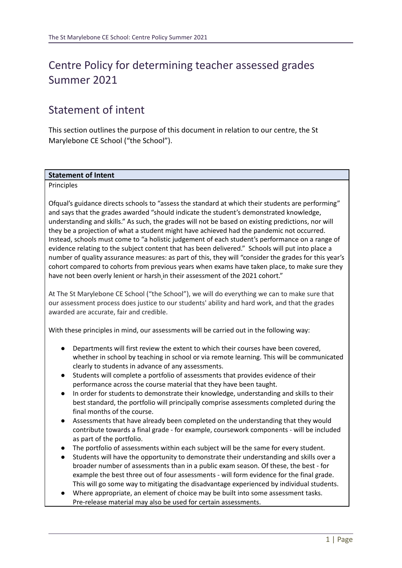# Centre Policy for determining teacher assessed grades Summer 2021

# Statement of intent

This section outlines the purpose of this document in relation to our centre, the St Marylebone CE School ("the School").

#### **Statement of Intent**

#### Principles

Ofqual's guidance directs schools to "assess the standard at which their students are performing" and says that the grades awarded "should indicate the student's demonstrated knowledge, understanding and skills." As such, the grades will not be based on existing predictions, nor will they be a projection of what a student might have achieved had the pandemic not occurred. Instead, schools must come to "a holistic judgement of each student's performance on a range of evidence relating to the subject content that has been delivered." Schools will put into place a number of quality assurance measures: as part of this, they will "consider the grades for this year's cohort compared to cohorts from previous years when exams have taken place, to make sure they have not been overly lenient or harsh in their assessment of the 2021 cohort."

At The St Marylebone CE School ("the School"), we will do everything we can to make sure that our assessment process does justice to our students' ability and hard work, and that the grades awarded are accurate, fair and credible.

With these principles in mind, our assessments will be carried out in the following way:

- Departments will first review the extent to which their courses have been covered, whether in school by teaching in school or via remote learning. This will be communicated clearly to students in advance of any assessments.
- Students will complete a portfolio of assessments that provides evidence of their performance across the course material that they have been taught.
- In order for students to demonstrate their knowledge, understanding and skills to their best standard, the portfolio will principally comprise assessments completed during the final months of the course.
- Assessments that have already been completed on the understanding that they would contribute towards a final grade - for example, coursework components - will be included as part of the portfolio.
- The portfolio of assessments within each subject will be the same for every student.
- Students will have the opportunity to demonstrate their understanding and skills over a broader number of assessments than in a public exam season. Of these, the best - for example the best three out of four assessments - will form evidence for the final grade. This will go some way to mitigating the disadvantage experienced by individual students.
- Where appropriate, an element of choice may be built into some assessment tasks. Pre-release material may also be used for certain assessments.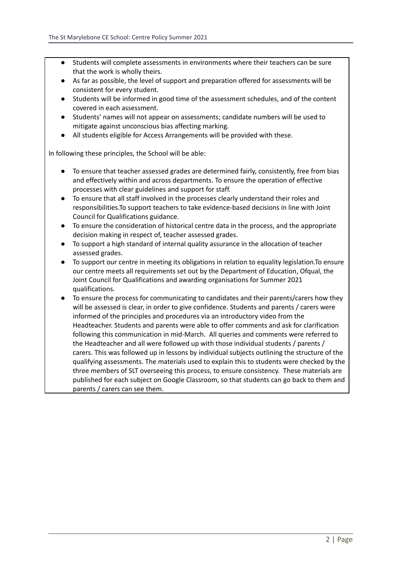- Students will complete assessments in environments where their teachers can be sure that the work is wholly theirs.
- As far as possible, the level of support and preparation offered for assessments will be consistent for every student.
- Students will be informed in good time of the assessment schedules, and of the content covered in each assessment.
- Students' names will not appear on assessments; candidate numbers will be used to mitigate against unconscious bias affecting marking.
- All students eligible for Access Arrangements will be provided with these.

In following these principles, the School will be able:

- To ensure that teacher assessed grades are determined fairly, consistently, free from bias and effectively within and across departments. To ensure the operation of effective processes with clear guidelines and support for staff.
- To ensure that all staff involved in the processes clearly understand their roles and responsibilities.To support teachers to take evidence-based decisions in line with Joint Council for Qualifications guidance.
- To ensure the consideration of historical centre data in the process, and the appropriate decision making in respect of, teacher assessed grades.
- To support a high standard of internal quality assurance in the allocation of teacher assessed grades.
- To support our centre in meeting its obligations in relation to equality legislation.To ensure our centre meets all requirements set out by the Department of Education, Ofqual, the Joint Council for Qualifications and awarding organisations for Summer 2021 qualifications.
- To ensure the process for communicating to candidates and their parents/carers how they will be assessed is clear, in order to give confidence. Students and parents / carers were informed of the principles and procedures via an introductory video from the Headteacher. Students and parents were able to offer comments and ask for clarification following this communication in mid-March. All queries and comments were referred to the Headteacher and all were followed up with those individual students / parents / carers. This was followed up in lessons by individual subjects outlining the structure of the qualifying assessments. The materials used to explain this to students were checked by the three members of SLT overseeing this process, to ensure consistency. These materials are published for each subject on Google Classroom, so that students can go back to them and parents / carers can see them.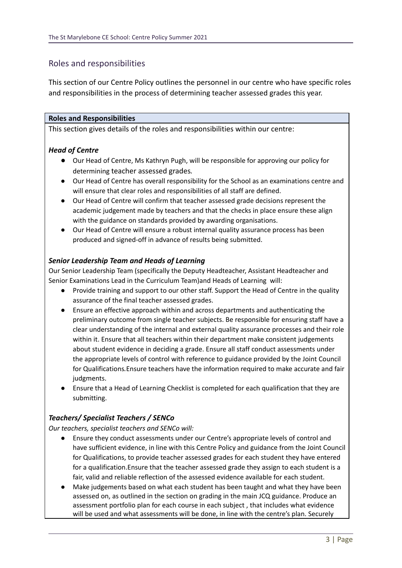# Roles and responsibilities

This section of our Centre Policy outlines the personnel in our centre who have specific roles and responsibilities in the process of determining teacher assessed grades this year.

## **Roles and Responsibilities**

This section gives details of the roles and responsibilities within our centre:

## *Head of Centre*

- *●* Our Head of Centre, Ms Kathryn Pugh, will be responsible for approving our policy for determining teacher assessed grades*.*
- Our Head of Centre has overall responsibility for the School as an examinations centre and will ensure that clear roles and responsibilities of all staff are defined.
- Our Head of Centre will confirm that teacher assessed grade decisions represent the academic judgement made by teachers and that the checks in place ensure these align with the guidance on standards provided by awarding organisations.
- Our Head of Centre will ensure a robust internal quality assurance process has been produced and signed-off in advance of results being submitted.

## *Senior Leadership Team and Heads of Learning*

Our Senior Leadership Team (specifically the Deputy Headteacher, Assistant Headteacher and Senior Examinations Lead in the Curriculum Team)and Heads of Learning will:

- *●* Provide training and support to our other staff. Support the Head of Centre in the quality assurance of the final teacher assessed grades.
- *●* Ensure an effective approach within and across departments and authenticating the preliminary outcome from single teacher subjects. Be responsible for ensuring staff have a clear understanding of the internal and external quality assurance processes and their role within it. Ensure that all teachers within their department make consistent judgements about student evidence in deciding a grade. Ensure all staff conduct assessments under the appropriate levels of control with reference to guidance provided by the Joint Council for Qualifications*.*Ensure teachers have the information required to make accurate and fair judgments.
- Ensure that a Head of Learning Checklist is completed for each qualification that they are submitting.

## *Teachers/ Specialist Teachers / SENCo*

*Our teachers, specialist teachers and SENCo will:*

- Ensure they conduct assessments under our Centre's appropriate levels of control and have sufficient evidence, in line with this Centre Policy and guidance from the Joint Council for Qualifications, to provide teacher assessed grades for each student they have entered for a qualification.Ensure that the teacher assessed grade they assign to each student is a fair, valid and reliable reflection of the assessed evidence available for each student.
- Make judgements based on what each student has been taught and what they have been assessed on, as outlined in the section on grading in the main JCQ guidance. Produce an assessment portfolio plan for each course in each subject , that includes what evidence will be used and what assessments will be done, in line with the centre's plan. Securely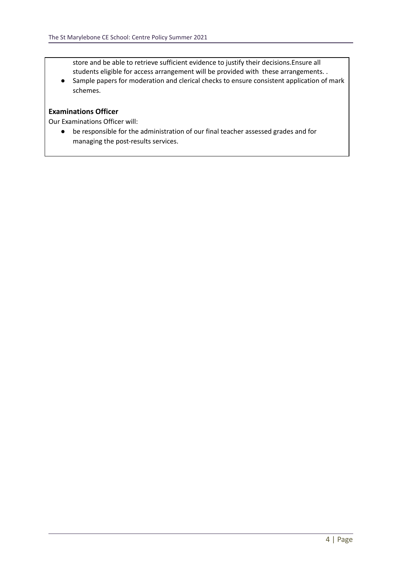store and be able to retrieve sufficient evidence to justify their decisions.Ensure all students eligible for access arrangement will be provided with these arrangements. .

● Sample papers for moderation and clerical checks to ensure consistent application of mark schemes.

## **Examinations Officer**

Our Examinations Officer will:

● be responsible for the administration of our final teacher assessed grades and for managing the post-results services.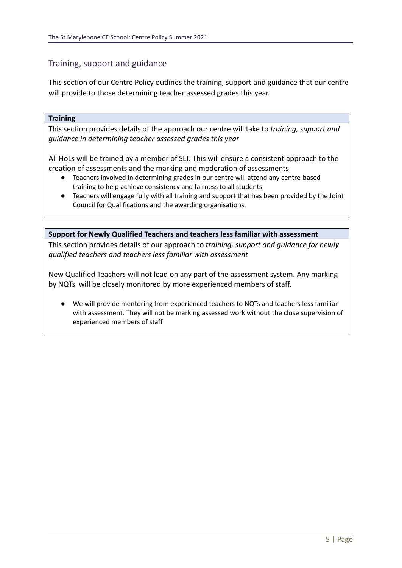# Training, support and guidance

This section of our Centre Policy outlines the training, support and guidance that our centre will provide to those determining teacher assessed grades this year.

### **Training**

This section provides details of the approach our centre will take to *training, support and guidance in determining teacher assessed grades this year*

All HoLs will be trained by a member of SLT. This will ensure a consistent approach to the creation of assessments and the marking and moderation of assessments

- Teachers involved in determining grades in our centre will attend any centre-based training to help achieve consistency and fairness to all students.
- Teachers will engage fully with all training and support that has been provided by the Joint Council for Qualifications and the awarding organisations.

**Support for Newly Qualified Teachers and teachers less familiar with assessment** This section provides details of our approach to *training, support and guidance for newly qualified teachers and teachers less familiar with assessment*

New Qualified Teachers will not lead on any part of the assessment system. Any marking by NQTs will be closely monitored by more experienced members of staff.

We will provide mentoring from experienced teachers to NQTs and teachers less familiar with assessment. They will not be marking assessed work without the close supervision of experienced members of staff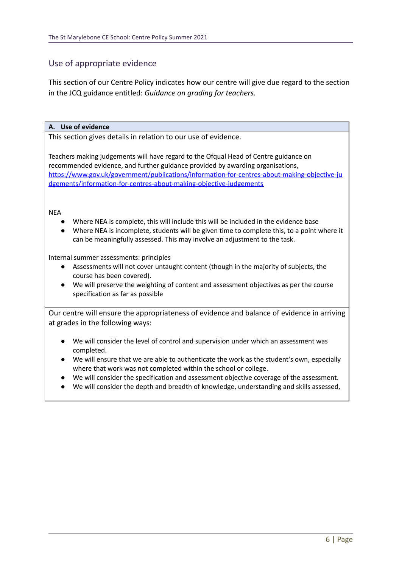# Use of appropriate evidence

This section of our Centre Policy indicates how our centre will give due regard to the section in the JCQ guidance entitled: *Guidance on grading for teachers*.

### **A. Use of evidence**

This section gives details in relation to our use of evidence.

Teachers making judgements will have regard to the Ofqual Head of Centre guidance on recommended evidence, and further guidance provided by awarding organisations, [https://www.gov.uk/government/publications/information-for-centres-about-making-objective-ju](https://www.gov.uk/government/publications/information-for-centres-about-making-objective-judgements/information-for-centres-about-making-objective-judgements) [dgements/information-for-centres-about-making-objective-judgements](https://www.gov.uk/government/publications/information-for-centres-about-making-objective-judgements/information-for-centres-about-making-objective-judgements)

#### NEA

- Where NEA is complete, this will include this will be included in the evidence base
- Where NEA is incomplete, students will be given time to complete this, to a point where it can be meaningfully assessed. This may involve an adjustment to the task.

Internal summer assessments: principles

- Assessments will not cover untaught content (though in the majority of subjects, the course has been covered).
- We will preserve the weighting of content and assessment objectives as per the course specification as far as possible

Our centre will ensure the appropriateness of evidence and balance of evidence in arriving at grades in the following ways:

- We will consider the level of control and supervision under which an assessment was completed.
- We will ensure that we are able to authenticate the work as the student's own, especially where that work was not completed within the school or college.
- We will consider the specification and assessment objective coverage of the assessment.
- We will consider the depth and breadth of knowledge, understanding and skills assessed,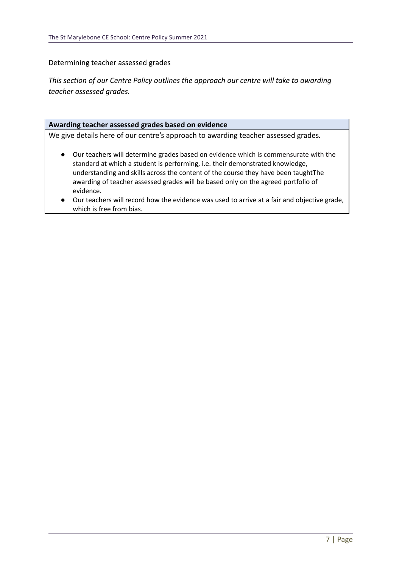Determining teacher assessed grades

*This section of our Centre Policy outlines the approach our centre will take to awarding teacher assessed grades.*

#### **Awarding teacher assessed grades based on evidence**

We give details here of our centre's approach to awarding teacher assessed grades*.*

- Our teachers will determine grades based on evidence which is commensurate with the standard at which a student is performing, i.e. their demonstrated knowledge, understanding and skills across the content of the course they have been taughtThe awarding of teacher assessed grades will be based only on the agreed portfolio of evidence.
- *●* Our teachers will record how the evidence was used to arrive at a fair and objective grade, which is free from bias*.*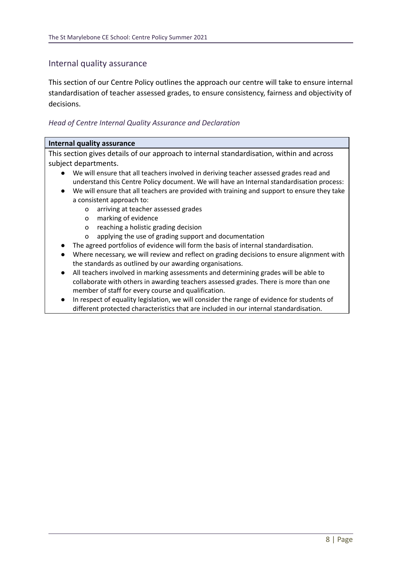# Internal quality assurance

This section of our Centre Policy outlines the approach our centre will take to ensure internal standardisation of teacher assessed grades, to ensure consistency, fairness and objectivity of decisions.

## *Head of Centre Internal Quality Assurance and Declaration*

#### **Internal quality assurance**

This section gives details of our approach to internal standardisation, within and across subject departments.

- We will ensure that all teachers involved in deriving teacher assessed grades read and understand this Centre Policy document. We will have an Internal standardisation process:
- We will ensure that all teachers are provided with training and support to ensure they take a consistent approach to:
	- o arriving at teacher assessed grades
	- o marking of evidence
	- o reaching a holistic grading decision
	- o applying the use of grading support and documentation
- The agreed portfolios of evidence will form the basis of internal standardisation.
- Where necessary, we will review and reflect on grading decisions to ensure alignment with the standards as outlined by our awarding organisations.
- All teachers involved in marking assessments and determining grades will be able to collaborate with others in awarding teachers assessed grades. There is more than one member of staff for every course and qualification.
- In respect of equality legislation, we will consider the range of evidence for students of different protected characteristics that are included in our internal standardisation.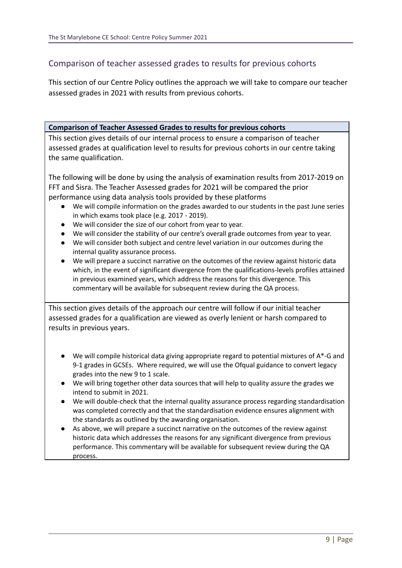# Comparison of teacher assessed grades to results for previous cohorts

This section of our Centre Policy outlines the approach we will take to compare our teacher assessed grades in 2021 with results from previous cohorts.

**Comparison of Teacher Assessed Grades to results for previous cohorts**

This section gives details of our internal process to ensure a comparison of teacher assessed grades at qualification level to results for previous cohorts in our centre taking the same qualification.

The following will be done by using the analysis of examination results from 2017-2019 on FFT and Sisra. The Teacher Assessed grades for 2021 will be compared the prior performance using data analysis tools provided by these platforms

- We will compile information on the grades awarded to our students in the past June series in which exams took place (e.g. 2017 - 2019).
- We will consider the size of our cohort from year to year.
- We will consider the stability of our centre's overall grade outcomes from year to year.
- We will consider both subject and centre level variation in our outcomes during the internal quality assurance process.
- We will prepare a succinct narrative on the outcomes of the review against historic data which, in the event of significant divergence from the qualifications-levels profiles attained in previous examined years, which address the reasons for this divergence. This commentary will be available for subsequent review during the QA process.

This section gives details of the approach our centre will follow if our initial teacher assessed grades for a qualification are viewed as overly lenient or harsh compared to results in previous years.

- $\bullet$  We will compile historical data giving appropriate regard to potential mixtures of  $A^*$ -G and 9-1 grades in GCSEs. Where required, we will use the Ofqual guidance to convert legacy grades into the new 9 to 1 scale.
- *●* We will bring together other data sources that will help to quality assure the grades we intend to submit in 2021.
- We will double-check that the internal quality assurance process regarding standardisation was completed correctly and that the standardisation evidence ensures alignment with the standards as outlined by the awarding organisation.
- *●* As above, we will prepare a succinct narrative on the outcomes of the review against historic data which addresses the reasons for any significant divergence from previous performance. This commentary will be available for subsequent review during the QA process.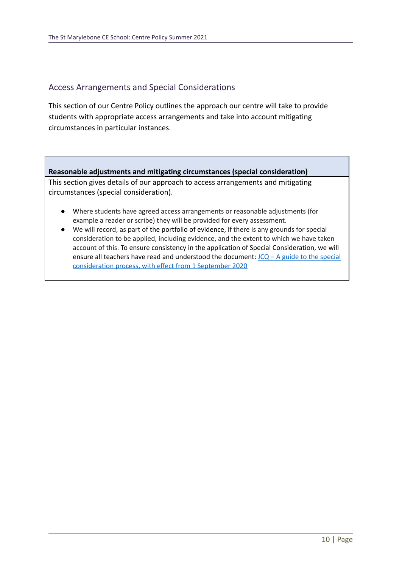# Access Arrangements and Special Considerations

This section of our Centre Policy outlines the approach our centre will take to provide students with appropriate access arrangements and take into account mitigating circumstances in particular instances.

**Reasonable adjustments and mitigating circumstances (special consideration)** This section gives details of our approach to access arrangements and mitigating

circumstances (special consideration).

- Where students have agreed access arrangements or reasonable adjustments (for example a reader or scribe) they will be provided for every assessment.
- We will record, as part of the portfolio of evidence, if there is any grounds for special consideration to be applied, including evidence, and the extent to which we have taken account of this. To ensure consistency in the application of Special Consideration, we will ensure all teachers have read and understood the document:  $JCQ - A$  guide to the [special](https://www.jcq.org.uk/wp-content/uploads/2020/08/A-guide-to-the-spec-con-process-202021-Website-version.pdf) [consideration](https://www.jcq.org.uk/wp-content/uploads/2020/08/A-guide-to-the-spec-con-process-202021-Website-version.pdf) process, with effect from 1 September 2020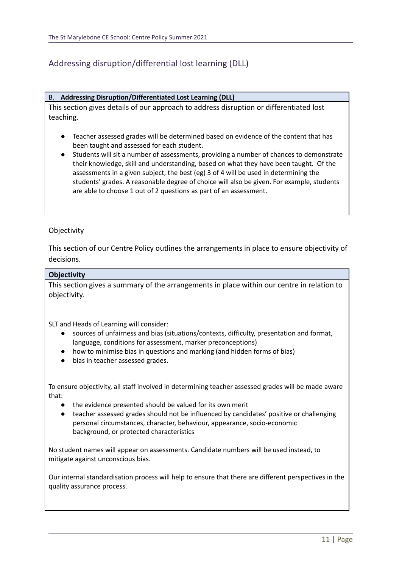# Addressing disruption/differential lost learning (DLL)

#### B. **Addressing Disruption/Differentiated Lost Learning (DLL)**

This section gives details of our approach to address disruption or differentiated lost teaching.

- Teacher assessed grades will be determined based on evidence of the content that has been taught and assessed for each student.
- Students will sit a number of assessments, providing a number of chances to demonstrate their knowledge, skill and understanding, based on what they have been taught. Of the assessments in a given subject, the best (eg) 3 of 4 will be used in determining the students' grades. A reasonable degree of choice will also be given. For example, students are able to choose 1 out of 2 questions as part of an assessment.

#### **Objectivity**

This section of our Centre Policy outlines the arrangements in place to ensure objectivity of decisions.

#### **Objectivity**

This section gives a summary of the arrangements in place within our centre in relation to objectivity.

SLT and Heads of Learning will consider:

- sources of unfairness and bias (situations/contexts, difficulty, presentation and format, language, conditions for assessment, marker preconceptions)
- how to minimise bias in questions and marking (and hidden forms of bias)
- bias in teacher assessed grades.

To ensure objectivity, all staff involved in determining teacher assessed grades will be made aware that:

- the evidence presented should be valued for its own merit
- teacher assessed grades should not be influenced by candidates' positive or challenging personal circumstances, character, behaviour, appearance, socio-economic background, or protected characteristics

No student names will appear on assessments. Candidate numbers will be used instead, to mitigate against unconscious bias.

Our internal standardisation process will help to ensure that there are different perspectives in the quality assurance process.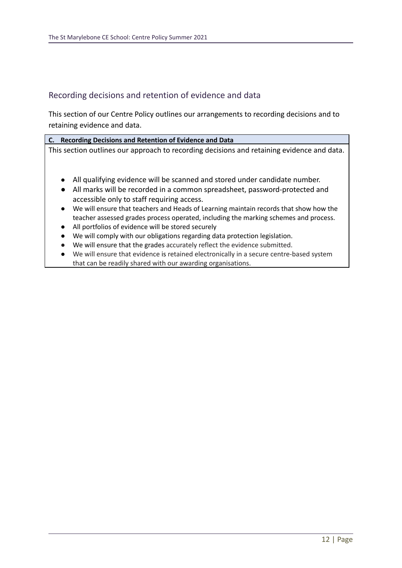## Recording decisions and retention of evidence and data

This section of our Centre Policy outlines our arrangements to recording decisions and to retaining evidence and data.

**C. Recording Decisions and Retention of Evidence and Data** This section outlines our approach to recording decisions and retaining evidence and data.

- All qualifying evidence will be scanned and stored under candidate number.
- All marks will be recorded in a common spreadsheet, password-protected and accessible only to staff requiring access.
- We will ensure that teachers and Heads of Learning maintain records that show how the teacher assessed grades process operated, including the marking schemes and process.
- All portfolios of evidence will be stored securely
- We will comply with our obligations regarding data protection legislation.
- We will ensure that the grades accurately reflect the evidence submitted.
- We will ensure that evidence is retained electronically in a secure centre-based system that can be readily shared with our awarding organisations.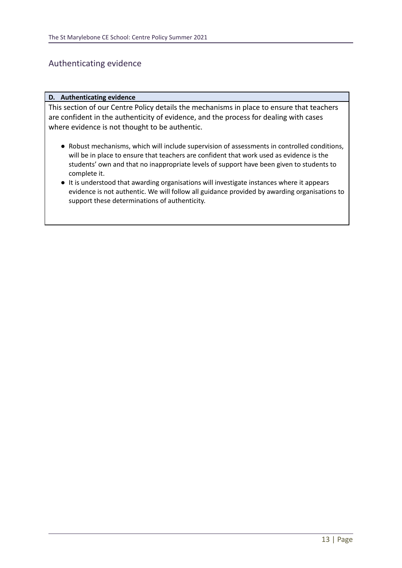## Authenticating evidence

#### **D. Authenticating evidence**

This section of our Centre Policy details the mechanisms in place to ensure that teachers are confident in the authenticity of evidence, and the process for dealing with cases where evidence is not thought to be authentic.

- Robust mechanisms, which will include supervision of assessments in controlled conditions, will be in place to ensure that teachers are confident that work used as evidence is the students' own and that no inappropriate levels of support have been given to students to complete it.
- It is understood that awarding organisations will investigate instances where it appears evidence is not authentic. We will follow all guidance provided by awarding organisations to support these determinations of authenticity.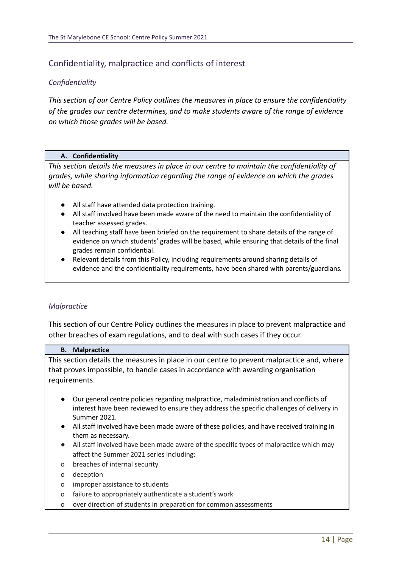# Confidentiality, malpractice and conflicts of interest

## *Confidentiality*

*This section of our Centre Policy outlines the measures in place to ensure the confidentiality of the grades our centre determines, and to make students aware of the range of evidence on which those grades will be based.*

#### **A. Confidentiality**

*This section details the measures in place in our centre to maintain the confidentiality of grades, while sharing information regarding the range of evidence on which the grades will be based.*

- All staff have attended data protection training.
- All staff involved have been made aware of the need to maintain the confidentiality of teacher assessed grades.
- All teaching staff have been briefed on the requirement to share details of the range of evidence on which students' grades will be based, while ensuring that details of the final grades remain confidential.
- Relevant details from this Policy, including requirements around sharing details of evidence and the confidentiality requirements, have been shared with parents/guardians*.*

## *Malpractice*

This section of our Centre Policy outlines the measures in place to prevent malpractice and other breaches of exam regulations, and to deal with such cases if they occur.

#### **B. Malpractice**

This section details the measures in place in our centre to prevent malpractice and, where that proves impossible, to handle cases in accordance with awarding organisation requirements.

- Our general centre policies regarding malpractice, maladministration and conflicts of interest have been reviewed to ensure they address the specific challenges of delivery in Summer 2021.
- All staff involved have been made aware of these policies, and have received training in them as necessary.
- All staff involved have been made aware of the specific types of malpractice which may affect the Summer 2021 series including:
- o breaches of internal security
- o deception
- o improper assistance to students
- o failure to appropriately authenticate a student's work
- o over direction of students in preparation for common assessments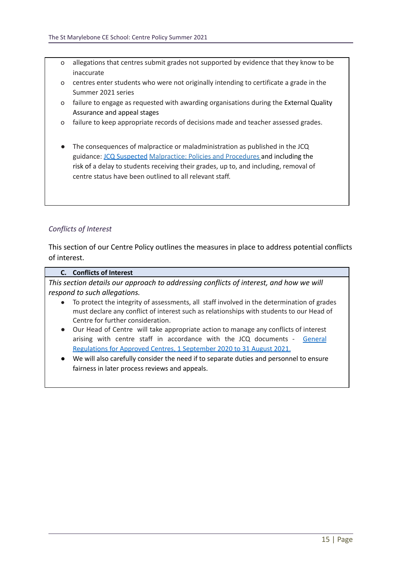- o allegations that centres submit grades not supported by evidence that they know to be inaccurate
- o centres enter students who were not originally intending to certificate a grade in the Summer 2021 series
- o failure to engage as requested with awarding organisations during the External Quality Assurance and appeal stages
- o failure to keep appropriate records of decisions made and teacher assessed grades.
- The consequences of malpractice or maladministration as published in the JCQ guidance: JCQ [Suspected](https://www.jcq.org.uk/exams-office/malpractice/jcq-suspected-malpractice-policies-and-procedures-2019-2020) Malpractice: Policies and Procedures and including the risk of a delay to students receiving their grades, up to, and including, removal of centre status have been outlined to all relevant staff.

## *Conflicts of Interest*

This section of our Centre Policy outlines the measures in place to address potential conflicts of interest.

#### **C. Conflicts of Interest**

*This section details our approach to addressing conflicts of interest, and how we will respond to such allegations.*

- To protect the integrity of assessments, all staff involved in the determination of grades must declare any conflict of interest such as relationships with students to our Head of Centre for further consideration.
- Our Head of Centre will take appropriate action to manage any conflicts of interest arising with centre staff in accordance with the JCQ documents - [General](https://www.jcq.org.uk/wp-content/uploads/2020/09/Gen_regs_approved_centres_20-21_FINAL.pdf) [Regulations](https://www.jcq.org.uk/wp-content/uploads/2020/09/Gen_regs_approved_centres_20-21_FINAL.pdf) for Approved Centres, 1 September 2020 to 31 August 2021.
- We will also carefully consider the need if to separate duties and personnel to ensure fairness in later process reviews and appeals.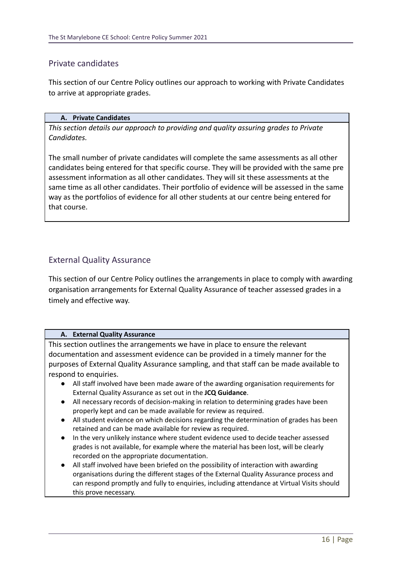# Private candidates

This section of our Centre Policy outlines our approach to working with Private Candidates to arrive at appropriate grades.

#### **A. Private Candidates**

*This section details our approach to providing and quality assuring grades to Private Candidates.*

The small number of private candidates will complete the same assessments as all other candidates being entered for that specific course. They will be provided with the same pre assessment information as all other candidates. They will sit these assessments at the same time as all other candidates. Their portfolio of evidence will be assessed in the same way as the portfolios of evidence for all other students at our centre being entered for that course.

# External Quality Assurance

This section of our Centre Policy outlines the arrangements in place to comply with awarding organisation arrangements for External Quality Assurance of teacher assessed grades in a timely and effective way.

## **A. External Quality Assurance**

This section outlines the arrangements we have in place to ensure the relevant documentation and assessment evidence can be provided in a timely manner for the purposes of External Quality Assurance sampling, and that staff can be made available to respond to enquiries.

- All staff involved have been made aware of the awarding organisation requirements for External Quality Assurance as set out in the **JCQ Guidance**.
- All necessary records of decision-making in relation to determining grades have been properly kept and can be made available for review as required.
- All student evidence on which decisions regarding the determination of grades has been retained and can be made available for review as required.
- In the very unlikely instance where student evidence used to decide teacher assessed grades is not available, for example where the material has been lost, will be clearly recorded on the appropriate documentation.
- All staff involved have been briefed on the possibility of interaction with awarding organisations during the different stages of the External Quality Assurance process and can respond promptly and fully to enquiries, including attendance at Virtual Visits should this prove necessary.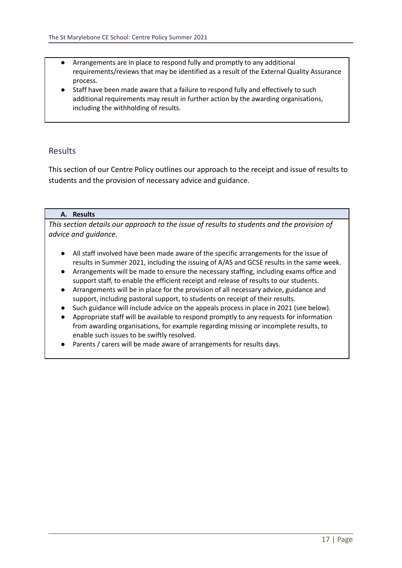- Arrangements are in place to respond fully and promptly to any additional requirements/reviews that may be identified as a result of the External Quality Assurance process.
- Staff have been made aware that a failure to respond fully and effectively to such additional requirements may result in further action by the awarding organisations, including the withholding of results.

# Results

This section of our Centre Policy outlines our approach to the receipt and issue of results to students and the provision of necessary advice and guidance.

## **A. Results**

*This section details our approach to the issue of results to students and the provision of advice and guidance.*

- All staff involved have been made aware of the specific arrangements for the issue of results in Summer 2021, including the issuing of A/AS and GCSE results in the same week.
- Arrangements will be made to ensure the necessary staffing, including exams office and support staff, to enable the efficient receipt and release of results to our students.
- Arrangements will be in place for the provision of all necessary advice, guidance and support, including pastoral support, to students on receipt of their results.
- Such guidance will include advice on the appeals process in place in 2021 (see below).
- Appropriate staff will be available to respond promptly to any requests for information from awarding organisations, for example regarding missing or incomplete results, to enable such issues to be swiftly resolved.
- Parents / carers will be made aware of arrangements for results days.